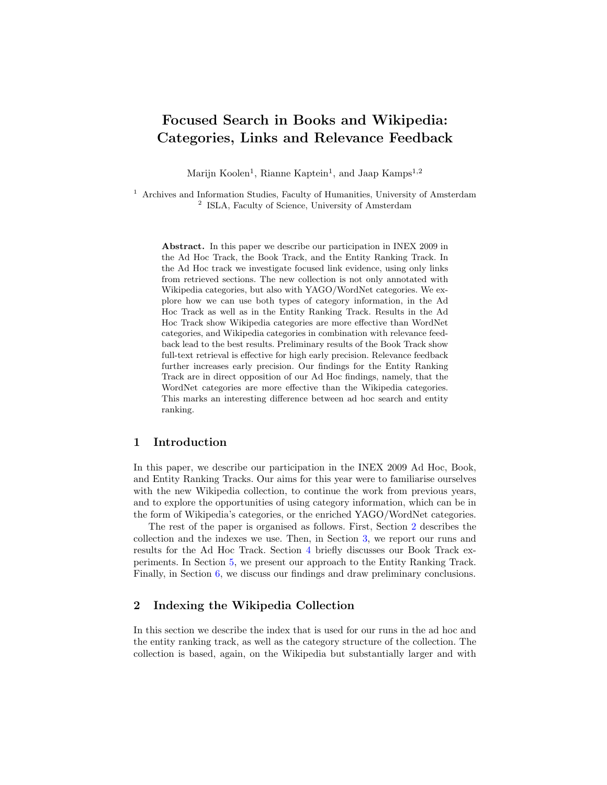# Focused Search in Books and Wikipedia: Categories, Links and Relevance Feedback

Marijn Koolen<sup>1</sup>, Rianne Kaptein<sup>1</sup>, and Jaap Kamps<sup>1,2</sup>

<sup>1</sup> Archives and Information Studies, Faculty of Humanities, University of Amsterdam <sup>2</sup> ISLA, Faculty of Science, University of Amsterdam

Abstract. In this paper we describe our participation in INEX 2009 in the Ad Hoc Track, the Book Track, and the Entity Ranking Track. In the Ad Hoc track we investigate focused link evidence, using only links from retrieved sections. The new collection is not only annotated with Wikipedia categories, but also with YAGO/WordNet categories. We explore how we can use both types of category information, in the Ad Hoc Track as well as in the Entity Ranking Track. Results in the Ad Hoc Track show Wikipedia categories are more effective than WordNet categories, and Wikipedia categories in combination with relevance feedback lead to the best results. Preliminary results of the Book Track show full-text retrieval is effective for high early precision. Relevance feedback further increases early precision. Our findings for the Entity Ranking Track are in direct opposition of our Ad Hoc findings, namely, that the WordNet categories are more effective than the Wikipedia categories. This marks an interesting difference between ad hoc search and entity ranking.

### 1 Introduction

In this paper, we describe our participation in the INEX 2009 Ad Hoc, Book, and Entity Ranking Tracks. Our aims for this year were to familiarise ourselves with the new Wikipedia collection, to continue the work from previous years, and to explore the opportunities of using category information, which can be in the form of Wikipedia's categories, or the enriched YAGO/WordNet categories.

The rest of the paper is organised as follows. First, Section [2](#page-0-0) describes the collection and the indexes we use. Then, in Section [3,](#page-3-0) we report our runs and results for the Ad Hoc Track. Section [4](#page-10-0) briefly discusses our Book Track experiments. In Section [5,](#page-11-0) we present our approach to the Entity Ranking Track. Finally, in Section [6,](#page-16-0) we discuss our findings and draw preliminary conclusions.

### <span id="page-0-0"></span>2 Indexing the Wikipedia Collection

In this section we describe the index that is used for our runs in the ad hoc and the entity ranking track, as well as the category structure of the collection. The collection is based, again, on the Wikipedia but substantially larger and with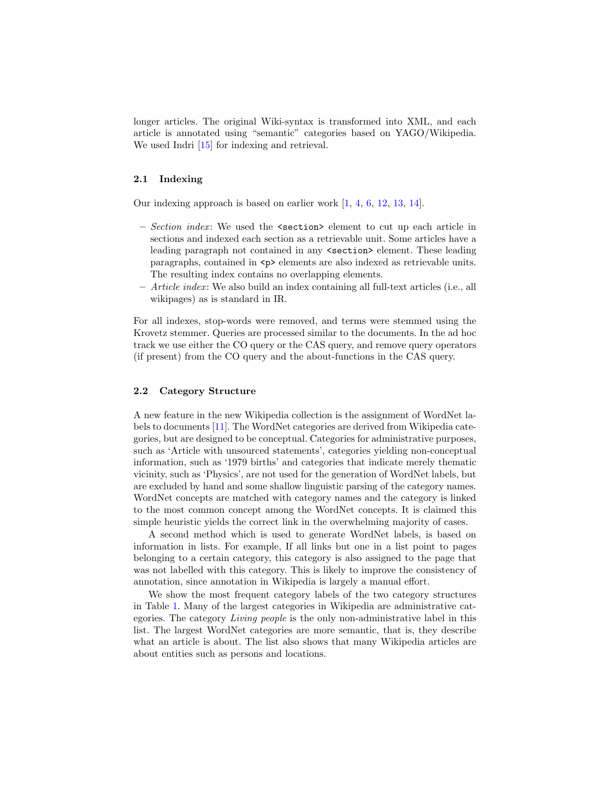longer articles. The original Wiki-syntax is transformed into XML, and each article is annotated using "semantic" categories based on YAGO/Wikipedia. We used Indri [\[15\]](#page-18-0) for indexing and retrieval.

#### 2.1 Indexing

Our indexing approach is based on earlier work [\[1,](#page-17-0) [4,](#page-17-1) [6,](#page-18-1) [12,](#page-18-2) [13,](#page-18-3) [14\]](#page-18-4).

- Section index: We used the  $\leq$  section learned to cut up each article in sections and indexed each section as a retrievable unit. Some articles have a leading paragraph not contained in any <section> element. These leading paragraphs, contained in <p> elements are also indexed as retrievable units. The resulting index contains no overlapping elements.
- $-$  *Article index*: We also build an index containing all full-text articles (i.e., all wikipages) as is standard in IR.

For all indexes, stop-words were removed, and terms were stemmed using the Krovetz stemmer. Queries are processed similar to the documents. In the ad hoc track we use either the CO query or the CAS query, and remove query operators (if present) from the CO query and the about-functions in the CAS query.

#### <span id="page-1-0"></span>2.2 Category Structure

A new feature in the new Wikipedia collection is the assignment of WordNet labels to documents [\[11\]](#page-18-5). The WordNet categories are derived from Wikipedia categories, but are designed to be conceptual. Categories for administrative purposes, such as 'Article with unsourced statements', categories yielding non-conceptual information, such as '1979 births' and categories that indicate merely thematic vicinity, such as 'Physics', are not used for the generation of WordNet labels, but are excluded by hand and some shallow linguistic parsing of the category names. WordNet concepts are matched with category names and the category is linked to the most common concept among the WordNet concepts. It is claimed this simple heuristic yields the correct link in the overwhelming majority of cases.

A second method which is used to generate WordNet labels, is based on information in lists. For example, If all links but one in a list point to pages belonging to a certain category, this category is also assigned to the page that was not labelled with this category. This is likely to improve the consistency of annotation, since annotation in Wikipedia is largely a manual effort.

We show the most frequent category labels of the two category structures in Table [1.](#page-2-0) Many of the largest categories in Wikipedia are administrative categories. The category Living people is the only non-administrative label in this list. The largest WordNet categories are more semantic, that is, they describe what an article is about. The list also shows that many Wikipedia articles are about entities such as persons and locations.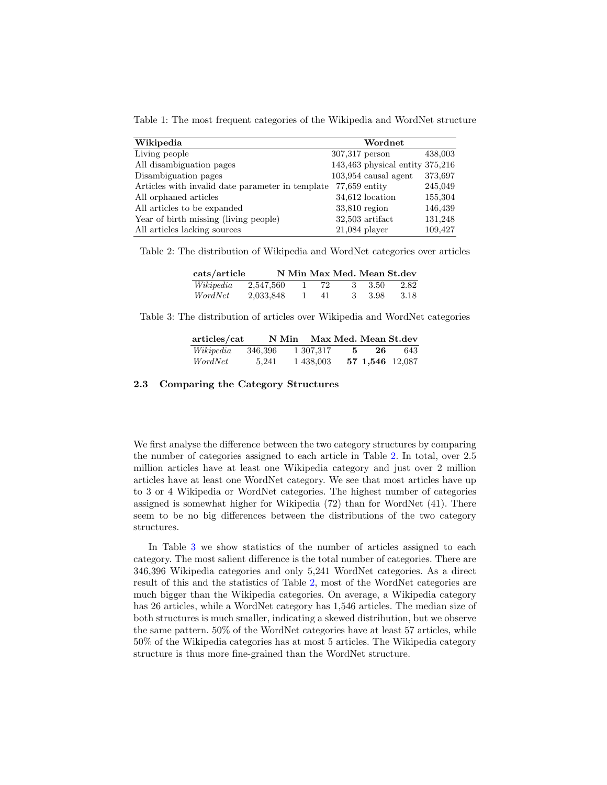<span id="page-2-0"></span>Table 1: The most frequent categories of the Wikipedia and WordNet structure

| Wikipedia                                        |                  | Wordnet                         |         |
|--------------------------------------------------|------------------|---------------------------------|---------|
| Living people                                    | $307,317$ person |                                 | 438,003 |
| All disambiguation pages                         |                  | 143,463 physical entity 375,216 |         |
| Disambiguation pages                             |                  | $103.954$ causal agent          | 373,697 |
| Articles with invalid date parameter in template | $77.659$ entity  |                                 | 245,049 |
| All orphaned articles                            |                  | 34,612 location                 | 155,304 |
| All articles to be expanded                      | $33,810$ region  |                                 | 146,439 |
| Year of birth missing (living people)            |                  | $32,503$ artifact               | 131,248 |
| All articles lacking sources                     | $21,084$ player  |                                 | 109,427 |

Table 2: The distribution of Wikipedia and WordNet categories over articles

<span id="page-2-1"></span>

| $\mathrm{cats}/\mathrm{article}$ |           |                  |      |        | N Min Max Med. Mean St.dev |
|----------------------------------|-----------|------------------|------|--------|----------------------------|
| Wikipedia                        | 2,547,560 | $\mathbf{1}$     | - 72 | 3 3.50 | 2.82                       |
| WordNet                          | 2,033,848 | $\sim$ 1. $\sim$ | -41  | 3 3.98 | -3.18                      |

Table 3: The distribution of articles over Wikipedia and WordNet categories

<span id="page-2-2"></span>

| $\mathrm{articles}/\mathrm{cat}$ |         | N Min |           |    |     | Max Med. Mean St.dev |
|----------------------------------|---------|-------|-----------|----|-----|----------------------|
| Wikipedia                        | 346,396 |       | 1 307,317 | -5 | -26 | 643                  |
| WordNet                          | 5.241   |       | 1 438,003 |    |     | 57 1,546 12,087      |

#### 2.3 Comparing the Category Structures

We first analyse the difference between the two category structures by comparing the number of categories assigned to each article in Table [2.](#page-2-1) In total, over 2.5 million articles have at least one Wikipedia category and just over 2 million articles have at least one WordNet category. We see that most articles have up to 3 or 4 Wikipedia or WordNet categories. The highest number of categories assigned is somewhat higher for Wikipedia (72) than for WordNet (41). There seem to be no big differences between the distributions of the two category structures.

In Table [3](#page-2-2) we show statistics of the number of articles assigned to each category. The most salient difference is the total number of categories. There are 346,396 Wikipedia categories and only 5,241 WordNet categories. As a direct result of this and the statistics of Table [2,](#page-2-1) most of the WordNet categories are much bigger than the Wikipedia categories. On average, a Wikipedia category has 26 articles, while a WordNet category has 1,546 articles. The median size of both structures is much smaller, indicating a skewed distribution, but we observe the same pattern. 50% of the WordNet categories have at least 57 articles, while 50% of the Wikipedia categories has at most 5 articles. The Wikipedia category structure is thus more fine-grained than the WordNet structure.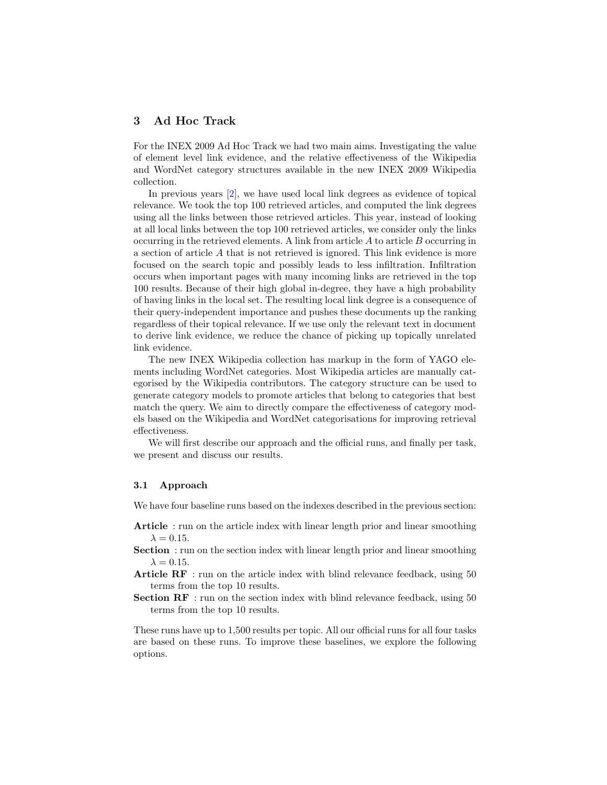## <span id="page-3-0"></span>3 Ad Hoc Track

For the INEX 2009 Ad Hoc Track we had two main aims. Investigating the value of element level link evidence, and the relative effectiveness of the Wikipedia and WordNet category structures available in the new INEX 2009 Wikipedia collection.

In previous years [\[2\]](#page-17-2), we have used local link degrees as evidence of topical relevance. We took the top 100 retrieved articles, and computed the link degrees using all the links between those retrieved articles. This year, instead of looking at all local links between the top 100 retrieved articles, we consider only the links occurring in the retrieved elements. A link from article  $A$  to article  $B$  occurring in a section of article A that is not retrieved is ignored. This link evidence is more focused on the search topic and possibly leads to less infiltration. Infiltration occurs when important pages with many incoming links are retrieved in the top 100 results. Because of their high global in-degree, they have a high probability of having links in the local set. The resulting local link degree is a consequence of their query-independent importance and pushes these documents up the ranking regardless of their topical relevance. If we use only the relevant text in document to derive link evidence, we reduce the chance of picking up topically unrelated link evidence.

The new INEX Wikipedia collection has markup in the form of YAGO elements including WordNet categories. Most Wikipedia articles are manually categorised by the Wikipedia contributors. The category structure can be used to generate category models to promote articles that belong to categories that best match the query. We aim to directly compare the effectiveness of category models based on the Wikipedia and WordNet categorisations for improving retrieval effectiveness.

We will first describe our approach and the official runs, and finally per task, we present and discuss our results.

#### 3.1 Approach

We have four baseline runs based on the indexes described in the previous section:

- Article : run on the article index with linear length prior and linear smoothing  $\lambda = 0.15$ .
- Section: run on the section index with linear length prior and linear smoothing  $\lambda = 0.15$ .
- Article RF : run on the article index with blind relevance feedback, using 50 terms from the top 10 results.
- Section RF : run on the section index with blind relevance feedback, using 50 terms from the top 10 results.

These runs have up to 1,500 results per topic. All our official runs for all four tasks are based on these runs. To improve these baselines, we explore the following options.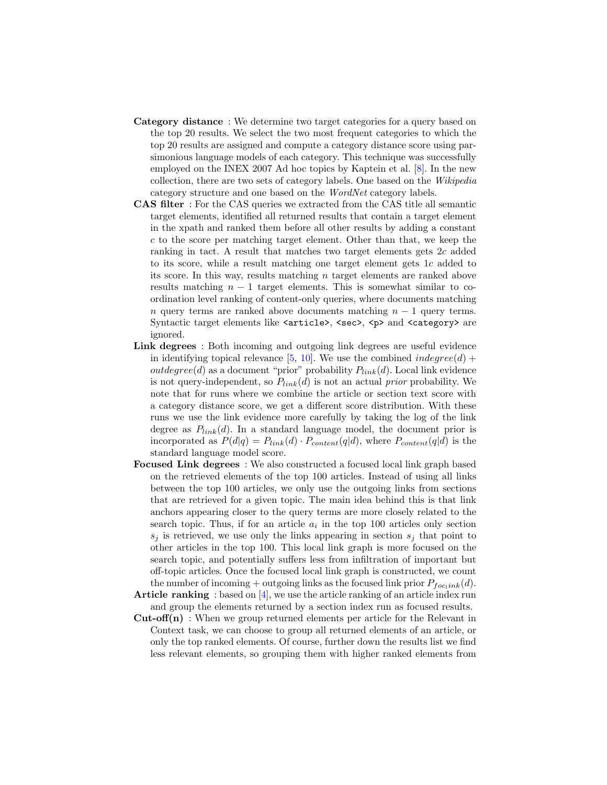- Category distance : We determine two target categories for a query based on the top 20 results. We select the two most frequent categories to which the top 20 results are assigned and compute a category distance score using parsimonious language models of each category. This technique was successfully employed on the INEX 2007 Ad hoc topics by Kaptein et al. [\[8\]](#page-18-6). In the new collection, there are two sets of category labels. One based on the Wikipedia category structure and one based on the WordNet category labels.
- CAS filter : For the CAS queries we extracted from the CAS title all semantic target elements, identified all returned results that contain a target element in the xpath and ranked them before all other results by adding a constant c to the score per matching target element. Other than that, we keep the ranking in tact. A result that matches two target elements gets 2c added to its score, while a result matching one target element gets 1c added to its score. In this way, results matching  $n$  target elements are ranked above results matching  $n - 1$  target elements. This is somewhat similar to coordination level ranking of content-only queries, where documents matching n query terms are ranked above documents matching  $n - 1$  query terms. Syntactic target elements like <article>, <sec>, <p> and <category> are ignored.
- Link degrees : Both incoming and outgoing link degrees are useful evidence in identifying topical relevance [\[5,](#page-18-7) [10\]](#page-18-8). We use the combined  $indegree(d)$  + *outdegree(d)* as a document "prior" probability  $P_{link}(d)$ . Local link evidence is not query-independent, so  $P_{link}(d)$  is not an actual prior probability. We note that for runs where we combine the article or section text score with a category distance score, we get a different score distribution. With these runs we use the link evidence more carefully by taking the log of the link degree as  $P_{link}(d)$ . In a standard language model, the document prior is incorporated as  $P(d|q) = P_{link}(d) \cdot P_{content}(q|d)$ , where  $P_{content}(q|d)$  is the standard language model score.
- Focused Link degrees : We also constructed a focused local link graph based on the retrieved elements of the top 100 articles. Instead of using all links between the top 100 articles, we only use the outgoing links from sections that are retrieved for a given topic. The main idea behind this is that link anchors appearing closer to the query terms are more closely related to the search topic. Thus, if for an article  $a_i$  in the top 100 articles only section  $s_i$  is retrieved, we use only the links appearing in section  $s_i$  that point to other articles in the top 100. This local link graph is more focused on the search topic, and potentially suffers less from infiltration of important but off-topic articles. Once the focused local link graph is constructed, we count the number of incoming + outgoing links as the focused link prior  $P_{foclink}(d)$ .
- Article ranking : based on [\[4\]](#page-17-1), we use the article ranking of an article index run and group the elements returned by a section index run as focused results.
- $Cut-off(n)$ : When we group returned elements per article for the Relevant in Context task, we can choose to group all returned elements of an article, or only the top ranked elements. Of course, further down the results list we find less relevant elements, so grouping them with higher ranked elements from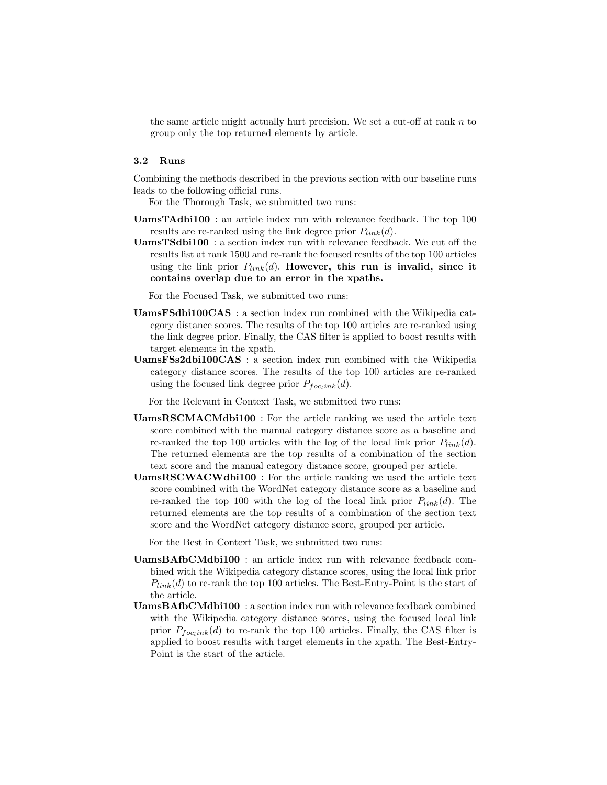the same article might actually hurt precision. We set a cut-off at rank  $n$  to group only the top returned elements by article.

#### 3.2 Runs

Combining the methods described in the previous section with our baseline runs leads to the following official runs.

For the Thorough Task, we submitted two runs:

- UamsTAdbi100 : an article index run with relevance feedback. The top 100 results are re-ranked using the link degree prior  $P_{link}(d)$ .
- UamsTSdbi100 : a section index run with relevance feedback. We cut off the results list at rank 1500 and re-rank the focused results of the top 100 articles using the link prior  $P_{link}(d)$ . However, this run is invalid, since it contains overlap due to an error in the xpaths.

For the Focused Task, we submitted two runs:

- UamsFSdbi100CAS : a section index run combined with the Wikipedia category distance scores. The results of the top 100 articles are re-ranked using the link degree prior. Finally, the CAS filter is applied to boost results with target elements in the xpath.
- UamsFSs2dbi100CAS : a section index run combined with the Wikipedia category distance scores. The results of the top 100 articles are re-ranked using the focused link degree prior  $P_{foc,ink}(d)$ .

For the Relevant in Context Task, we submitted two runs:

- UamsRSCMACMdbi100 : For the article ranking we used the article text score combined with the manual category distance score as a baseline and re-ranked the top 100 articles with the log of the local link prior  $P_{link}(d)$ . The returned elements are the top results of a combination of the section text score and the manual category distance score, grouped per article.
- UamsRSCWACWdbi100 : For the article ranking we used the article text score combined with the WordNet category distance score as a baseline and re-ranked the top 100 with the log of the local link prior  $P_{link}(d)$ . The returned elements are the top results of a combination of the section text score and the WordNet category distance score, grouped per article.

For the Best in Context Task, we submitted two runs:

- UamsBAfbCMdbi100 : an article index run with relevance feedback combined with the Wikipedia category distance scores, using the local link prior  $P_{link}(d)$  to re-rank the top 100 articles. The Best-Entry-Point is the start of the article.
- UamsBAfbCMdbi100 : a section index run with relevance feedback combined with the Wikipedia category distance scores, using the focused local link prior  $P_{foclink}(d)$  to re-rank the top 100 articles. Finally, the CAS filter is applied to boost results with target elements in the xpath. The Best-Entry-Point is the start of the article.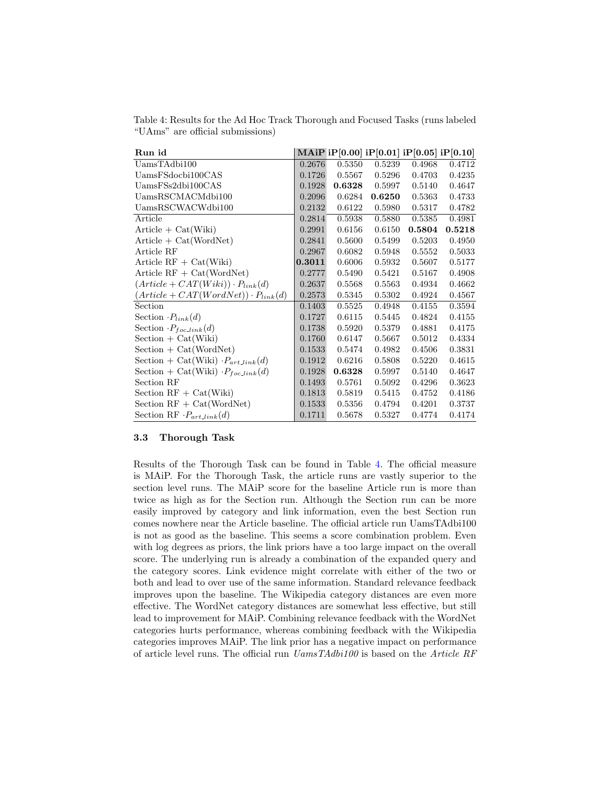<span id="page-6-0"></span>Table 4: Results for the Ad Hoc Track Thorough and Focused Tasks (runs labeled "UAms" are official submissions)

| Run id                                       |        |        | MAiP iP[0.00] iP[0.01] iP[0.05] iP[0.10] |        |        |
|----------------------------------------------|--------|--------|------------------------------------------|--------|--------|
| UamsTAdbi100                                 | 0.2676 | 0.5350 | 0.5239                                   | 0.4968 | 0.4712 |
| UamsFSdocbi100CAS                            | 0.1726 | 0.5567 | 0.5296                                   | 0.4703 | 0.4235 |
| UamsFSs2dbi100CAS                            | 0.1928 | 0.6328 | 0.5997                                   | 0.5140 | 0.4647 |
| UamsRSCMACMdbi100                            | 0.2096 | 0.6284 | 0.6250                                   | 0.5363 | 0.4733 |
| UamsRSCWACWdbi100                            | 0.2132 | 0.6122 | 0.5980                                   | 0.5317 | 0.4782 |
| Article                                      | 0.2814 | 0.5938 | 0.5880                                   | 0.5385 | 0.4981 |
| $Article + Cat(Wiki)$                        | 0.2991 | 0.6156 | 0.6150                                   | 0.5804 | 0.5218 |
| $Article + Cat(WordNet)$                     | 0.2841 | 0.5600 | 0.5499                                   | 0.5203 | 0.4950 |
| Article RF                                   | 0.2967 | 0.6082 | 0.5948                                   | 0.5552 | 0.5033 |
| Article $RF + Cat(Wiki)$                     | 0.3011 | 0.6006 | 0.5932                                   | 0.5607 | 0.5177 |
| $Article RF + Cat(WordNet)$                  | 0.2777 | 0.5490 | 0.5421                                   | 0.5167 | 0.4908 |
| $(Article + CAT(Wiki)) \cdot P_{link}(d)$    | 0.2637 | 0.5568 | 0.5563                                   | 0.4934 | 0.4662 |
| $(Article + CAT(WordNet)) \cdot P_{link}(d)$ | 0.2573 | 0.5345 | 0.5302                                   | 0.4924 | 0.4567 |
| Section                                      | 0.1403 | 0.5525 | 0.4948                                   | 0.4155 | 0.3594 |
| Section $\cdot P_{link}(d)$                  | 0.1727 | 0.6115 | 0.5445                                   | 0.4824 | 0.4155 |
| Section $\cdot P_{foc\_link}(d)$             | 0.1738 | 0.5920 | 0.5379                                   | 0.4881 | 0.4175 |
| $Section + Cat(Wiki)$                        | 0.1760 | 0.6147 | 0.5667                                   | 0.5012 | 0.4334 |
| $Section + Cat(WordNet)$                     | 0.1533 | 0.5474 | 0.4982                                   | 0.4506 | 0.3831 |
| Section + Cat(Wiki) $P_{art\_link}(d)$       | 0.1912 | 0.6216 | 0.5808                                   | 0.5220 | 0.4615 |
| Section + Cat(Wiki) $\cdot P_{foc\_link}(d)$ | 0.1928 | 0.6328 | 0.5997                                   | 0.5140 | 0.4647 |
| Section RF                                   | 0.1493 | 0.5761 | 0.5092                                   | 0.4296 | 0.3623 |
| Section $RF + Cat(Wiki)$                     | 0.1813 | 0.5819 | 0.5415                                   | 0.4752 | 0.4186 |
| Section $RF + Cat(WordNet)$                  | 0.1533 | 0.5356 | 0.4794                                   | 0.4201 | 0.3737 |
| Section RF $\cdot P_{art\_link}(d)$          | 0.1711 | 0.5678 | 0.5327                                   | 0.4774 | 0.4174 |

#### 3.3 Thorough Task

Results of the Thorough Task can be found in Table [4.](#page-6-0) The official measure is MAiP. For the Thorough Task, the article runs are vastly superior to the section level runs. The MAiP score for the baseline Article run is more than twice as high as for the Section run. Although the Section run can be more easily improved by category and link information, even the best Section run comes nowhere near the Article baseline. The official article run UamsTAdbi100 is not as good as the baseline. This seems a score combination problem. Even with log degrees as priors, the link priors have a too large impact on the overall score. The underlying run is already a combination of the expanded query and the category scores. Link evidence might correlate with either of the two or both and lead to over use of the same information. Standard relevance feedback improves upon the baseline. The Wikipedia category distances are even more effective. The WordNet category distances are somewhat less effective, but still lead to improvement for MAiP. Combining relevance feedback with the WordNet categories hurts performance, whereas combining feedback with the Wikipedia categories improves MAiP. The link prior has a negative impact on performance of article level runs. The official run  $UamsTAdbi100$  is based on the Article RF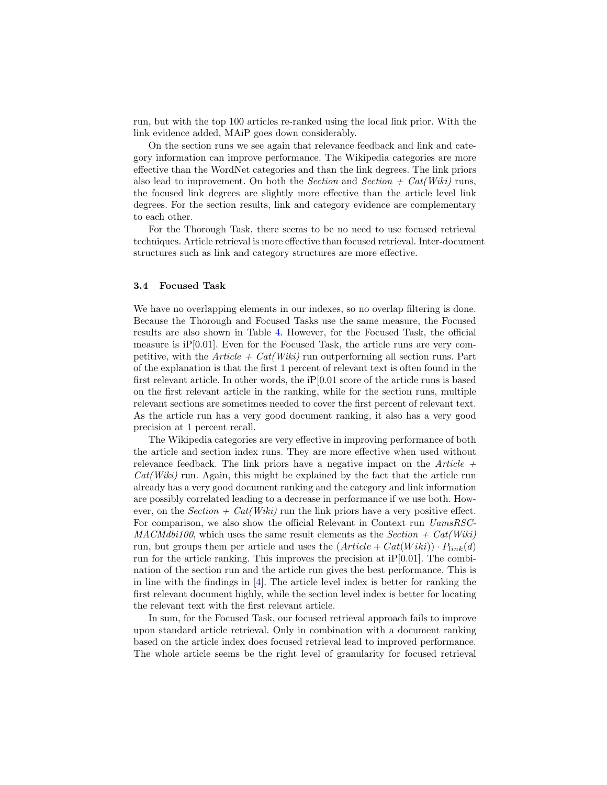run, but with the top 100 articles re-ranked using the local link prior. With the link evidence added, MAiP goes down considerably.

On the section runs we see again that relevance feedback and link and category information can improve performance. The Wikipedia categories are more effective than the WordNet categories and than the link degrees. The link priors also lead to improvement. On both the Section and Section  $+ Cat(Wiki)$  runs, the focused link degrees are slightly more effective than the article level link degrees. For the section results, link and category evidence are complementary to each other.

For the Thorough Task, there seems to be no need to use focused retrieval techniques. Article retrieval is more effective than focused retrieval. Inter-document structures such as link and category structures are more effective.

#### 3.4 Focused Task

We have no overlapping elements in our indexes, so no overlap filtering is done. Because the Thorough and Focused Tasks use the same measure, the Focused results are also shown in Table [4.](#page-6-0) However, for the Focused Task, the official measure is  $iP[0.01]$ . Even for the Focused Task, the article runs are very competitive, with the Article  $+ Cat(Wiki)$  run outperforming all section runs. Part of the explanation is that the first 1 percent of relevant text is often found in the first relevant article. In other words, the  $iP[0.01]$  score of the article runs is based on the first relevant article in the ranking, while for the section runs, multiple relevant sections are sometimes needed to cover the first percent of relevant text. As the article run has a very good document ranking, it also has a very good precision at 1 percent recall.

The Wikipedia categories are very effective in improving performance of both the article and section index runs. They are more effective when used without relevance feedback. The link priors have a negative impact on the Article  $+$  $Cat(Wiki)$  run. Again, this might be explained by the fact that the article run already has a very good document ranking and the category and link information are possibly correlated leading to a decrease in performance if we use both. However, on the Section + Cat(Wiki) run the link priors have a very positive effect. For comparison, we also show the official Relevant in Context run UamsRSC- $MACMdbi100$ , which uses the same result elements as the Section + Cat(Wiki) run, but groups them per article and uses the  $(Article + Cat(Wiki)) \cdot P_{link}(d)$ run for the article ranking. This improves the precision at  $iP[0.01]$ . The combination of the section run and the article run gives the best performance. This is in line with the findings in [\[4\]](#page-17-1). The article level index is better for ranking the first relevant document highly, while the section level index is better for locating the relevant text with the first relevant article.

In sum, for the Focused Task, our focused retrieval approach fails to improve upon standard article retrieval. Only in combination with a document ranking based on the article index does focused retrieval lead to improved performance. The whole article seems be the right level of granularity for focused retrieval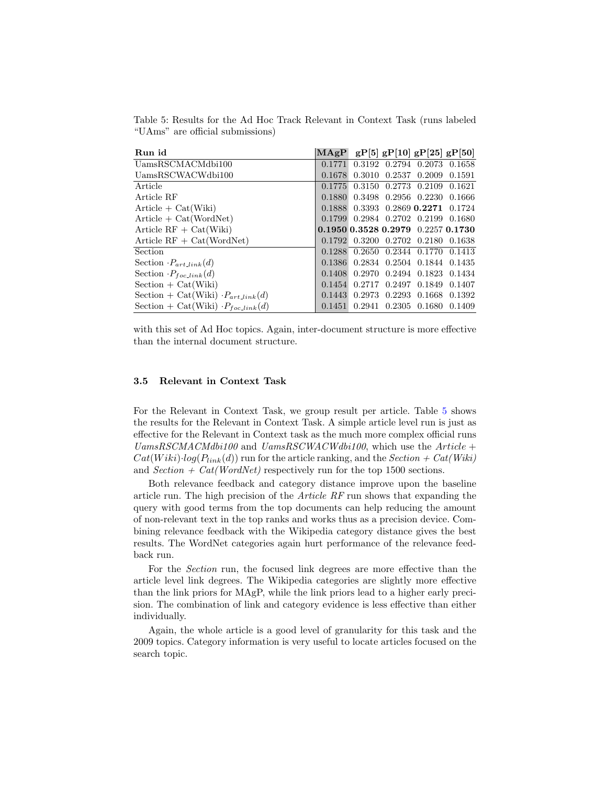<span id="page-8-0"></span>Table 5: Results for the Ad Hoc Track Relevant in Context Task (runs labeled "UAms" are official submissions)

| Run id                                 |        |               | MAgP gP[5] gP[10] gP[25] gP[50]     |        |
|----------------------------------------|--------|---------------|-------------------------------------|--------|
| UamsRSCMACMdbi100                      | 0.1771 |               | 0.3192 0.2794 0.2073 0.1658         |        |
| UamsRSCWACWdbi100                      | 0.1678 |               | 0.3010 0.2537 0.2009                | 0.1591 |
| Article                                | 0.1775 |               | 0.3150 0.2773 0.2109 0.1621         |        |
| Article RF                             | 0.1880 |               | 0.3498 0.2956 0.2230 0.1666         |        |
| $Article + Cat(Wiki)$                  | 0.1888 |               | $0.3393$ $0.2869$ $0.2271$ $0.1724$ |        |
| $Article + Cat(WordNet)$               | 0.1799 |               | 0.2984 0.2702 0.2199 0.1680         |        |
| Article $RF + Cat(Wiki)$               |        |               | 0.1950 0.3528 0.2979 0.2257 0.1730  |        |
| Article $RF + Cat(WordNet)$            | 0.1792 |               | 0.3200 0.2702 0.2180 0.1638         |        |
| Section                                | 0.1288 |               | 0.2650 0.2344 0.1770 0.1413         |        |
| Section $P_{art-link}(d)$              | 0.1386 |               | 0.2834 0.2504 0.1844 0.1435         |        |
| Section $P_{foc\_link}(d)$             | 0.1408 |               | 0.2970 0.2494 0.1823 0.1434         |        |
| $Section + Cat(Wiki)$                  | 0.1454 |               | 0.2717 0.2497 0.1849 0.1407         |        |
| Section + Cat(Wiki) $P_{art\_link}(d)$ | 0.1443 |               | 0.2973 0.2293 0.1668 0.1392         |        |
| Section + Cat(Wiki) $P_{foc\_link}(d)$ | 0.1451 | 0.2941 0.2305 | 0.1680                              | 0.1409 |

with this set of Ad Hoc topics. Again, inter-document structure is more effective than the internal document structure.

#### 3.5 Relevant in Context Task

For the Relevant in Context Task, we group result per article. Table [5](#page-8-0) shows the results for the Relevant in Context Task. A simple article level run is just as effective for the Relevant in Context task as the much more complex official runs  $UamsRSCMACMdbi100$  and  $UamsRSCWACWdbi100$ , which use the  $Article +$  $Cat(W iki) \cdot log(P_{link}(d))$  run for the article ranking, and the Section +  $Cat(W iki)$ and  $Section + Cat(WordNet)$  respectively run for the top 1500 sections.

Both relevance feedback and category distance improve upon the baseline article run. The high precision of the Article RF run shows that expanding the query with good terms from the top documents can help reducing the amount of non-relevant text in the top ranks and works thus as a precision device. Combining relevance feedback with the Wikipedia category distance gives the best results. The WordNet categories again hurt performance of the relevance feedback run.

For the Section run, the focused link degrees are more effective than the article level link degrees. The Wikipedia categories are slightly more effective than the link priors for MAgP, while the link priors lead to a higher early precision. The combination of link and category evidence is less effective than either individually.

Again, the whole article is a good level of granularity for this task and the 2009 topics. Category information is very useful to locate articles focused on the search topic.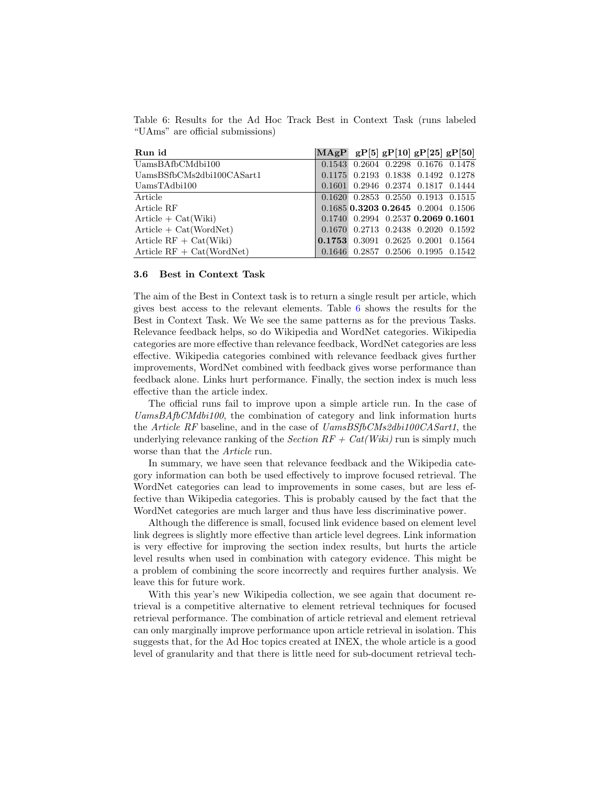<span id="page-9-0"></span>Table 6: Results for the Ad Hoc Track Best in Context Task (runs labeled "UAms" are official submissions)

| Run id                      | $MAgP$ gP[5] gP[10] gP[25] gP[50]  |  |                                              |
|-----------------------------|------------------------------------|--|----------------------------------------------|
| UamsBAfbCMdbi100            |                                    |  | 0.1543 0.2604 0.2298 0.1676 0.1478           |
| UamsBSfbCMs2dbi100CASart1   |                                    |  | 0.1175 0.2193 0.1838 0.1492 0.1278           |
| UamsTAdbi100                |                                    |  | 0.1601 0.2946 0.2374 0.1817 0.1444           |
| Article                     |                                    |  | 0.1620 0.2853 0.2550 0.1913 0.1515           |
| Article RF                  |                                    |  | $0.1685$ $0.3203$ $0.2645$ $0.2004$ $0.1506$ |
| $Article + Cat(Wiki)$       |                                    |  | $0.1740$ $0.2994$ $0.2537$ $0.2069$ $0.1601$ |
| $Article + Cat(WordNet)$    |                                    |  | $0.1670$ $0.2713$ $0.2438$ $0.2020$ $0.1592$ |
| Article $RF + Cat(Wiki)$    | 0.1753 0.3091 0.2625 0.2001 0.1564 |  |                                              |
| Article $RF + Cat(WordNet)$ |                                    |  | 0.1646 0.2857 0.2506 0.1995 0.1542           |

#### 3.6 Best in Context Task

The aim of the Best in Context task is to return a single result per article, which gives best access to the relevant elements. Table [6](#page-9-0) shows the results for the Best in Context Task. We We see the same patterns as for the previous Tasks. Relevance feedback helps, so do Wikipedia and WordNet categories. Wikipedia categories are more effective than relevance feedback, WordNet categories are less effective. Wikipedia categories combined with relevance feedback gives further improvements, WordNet combined with feedback gives worse performance than feedback alone. Links hurt performance. Finally, the section index is much less effective than the article index.

The official runs fail to improve upon a simple article run. In the case of  $UamsBAfbCMdbi100$ , the combination of category and link information hurts the Article RF baseline, and in the case of  $UamsBSfbCMs2dbi100CASart1$ , the underlying relevance ranking of the Section  $RF + Cat(Wiki)$  run is simply much worse than that the Article run.

In summary, we have seen that relevance feedback and the Wikipedia category information can both be used effectively to improve focused retrieval. The WordNet categories can lead to improvements in some cases, but are less effective than Wikipedia categories. This is probably caused by the fact that the WordNet categories are much larger and thus have less discriminative power.

Although the difference is small, focused link evidence based on element level link degrees is slightly more effective than article level degrees. Link information is very effective for improving the section index results, but hurts the article level results when used in combination with category evidence. This might be a problem of combining the score incorrectly and requires further analysis. We leave this for future work.

With this year's new Wikipedia collection, we see again that document retrieval is a competitive alternative to element retrieval techniques for focused retrieval performance. The combination of article retrieval and element retrieval can only marginally improve performance upon article retrieval in isolation. This suggests that, for the Ad Hoc topics created at INEX, the whole article is a good level of granularity and that there is little need for sub-document retrieval tech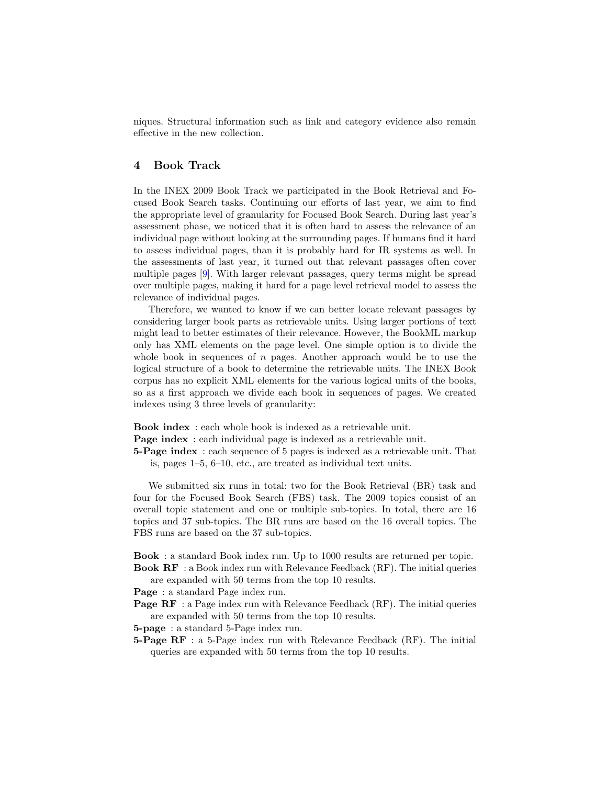niques. Structural information such as link and category evidence also remain effective in the new collection.

## <span id="page-10-0"></span>4 Book Track

In the INEX 2009 Book Track we participated in the Book Retrieval and Focused Book Search tasks. Continuing our efforts of last year, we aim to find the appropriate level of granularity for Focused Book Search. During last year's assessment phase, we noticed that it is often hard to assess the relevance of an individual page without looking at the surrounding pages. If humans find it hard to assess individual pages, than it is probably hard for IR systems as well. In the assessments of last year, it turned out that relevant passages often cover multiple pages [\[9\]](#page-18-9). With larger relevant passages, query terms might be spread over multiple pages, making it hard for a page level retrieval model to assess the relevance of individual pages.

Therefore, we wanted to know if we can better locate relevant passages by considering larger book parts as retrievable units. Using larger portions of text might lead to better estimates of their relevance. However, the BookML markup only has XML elements on the page level. One simple option is to divide the whole book in sequences of  $n$  pages. Another approach would be to use the logical structure of a book to determine the retrievable units. The INEX Book corpus has no explicit XML elements for the various logical units of the books, so as a first approach we divide each book in sequences of pages. We created indexes using 3 three levels of granularity:

Book index : each whole book is indexed as a retrievable unit.

Page index : each individual page is indexed as a retrievable unit.

5-Page index : each sequence of 5 pages is indexed as a retrievable unit. That is, pages 1–5, 6–10, etc., are treated as individual text units.

We submitted six runs in total: two for the Book Retrieval (BR) task and four for the Focused Book Search (FBS) task. The 2009 topics consist of an overall topic statement and one or multiple sub-topics. In total, there are 16 topics and 37 sub-topics. The BR runs are based on the 16 overall topics. The FBS runs are based on the 37 sub-topics.

Book : a standard Book index run. Up to 1000 results are returned per topic.

Book RF : a Book index run with Relevance Feedback (RF). The initial queries are expanded with 50 terms from the top 10 results.

Page : a standard Page index run.

**Page RF**: a Page index run with Relevance Feedback (RF). The initial queries are expanded with 50 terms from the top 10 results.

5-page : a standard 5-Page index run.

5-Page RF : a 5-Page index run with Relevance Feedback (RF). The initial queries are expanded with 50 terms from the top 10 results.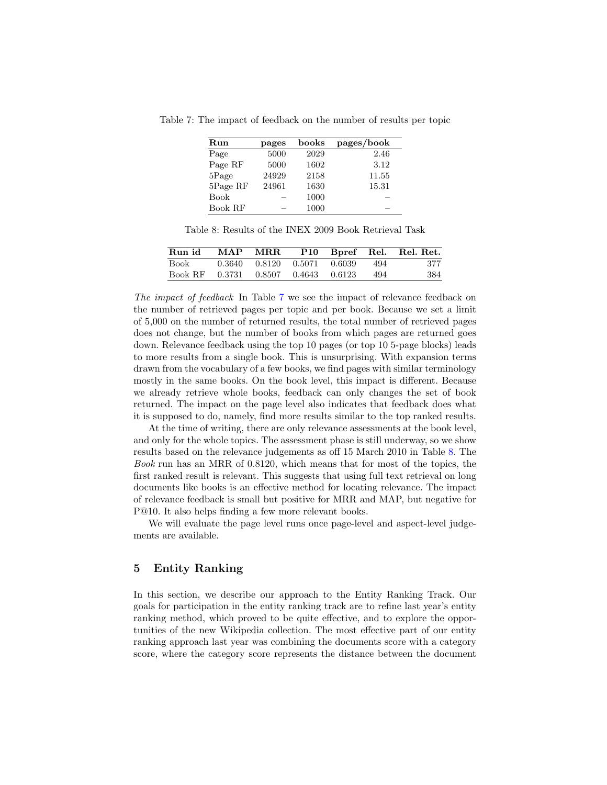Table 7: The impact of feedback on the number of results per topic

<span id="page-11-1"></span>

| Run      | pages | books | pages/book |
|----------|-------|-------|------------|
| Page     | 5000  | 2029  | 2.46       |
| Page RF  | 5000  | 1602  | 3.12       |
| 5Page    | 24929 | 2158  | 11.55      |
| 5Page RF | 24961 | 1630  | 15.31      |
| Book     |       | 1000  |            |
| Book RF  |       | 1000  |            |

<span id="page-11-2"></span>Table 8: Results of the INEX 2009 Book Retrieval Task

| Run id  | MAP | $\operatorname{MRR}$                | P10 Bpref Rel. |      | Rel. Ret. |
|---------|-----|-------------------------------------|----------------|------|-----------|
| Book    |     | $0.3640$ $0.8120$ $0.5071$ $0.6039$ |                | -494 | 377       |
| Book RF |     | $0.3731$ $0.8507$ $0.4643$ $0.6123$ |                | 494  | 384       |

The impact of feedback In Table [7](#page-11-1) we see the impact of relevance feedback on the number of retrieved pages per topic and per book. Because we set a limit of 5,000 on the number of returned results, the total number of retrieved pages does not change, but the number of books from which pages are returned goes down. Relevance feedback using the top 10 pages (or top 10 5-page blocks) leads to more results from a single book. This is unsurprising. With expansion terms drawn from the vocabulary of a few books, we find pages with similar terminology mostly in the same books. On the book level, this impact is different. Because we already retrieve whole books, feedback can only changes the set of book returned. The impact on the page level also indicates that feedback does what it is supposed to do, namely, find more results similar to the top ranked results.

At the time of writing, there are only relevance assessments at the book level, and only for the whole topics. The assessment phase is still underway, so we show results based on the relevance judgements as off 15 March 2010 in Table [8.](#page-11-2) The Book run has an MRR of 0.8120, which means that for most of the topics, the first ranked result is relevant. This suggests that using full text retrieval on long documents like books is an effective method for locating relevance. The impact of relevance feedback is small but positive for MRR and MAP, but negative for P@10. It also helps finding a few more relevant books.

We will evaluate the page level runs once page-level and aspect-level judgements are available.

## <span id="page-11-0"></span>5 Entity Ranking

In this section, we describe our approach to the Entity Ranking Track. Our goals for participation in the entity ranking track are to refine last year's entity ranking method, which proved to be quite effective, and to explore the opportunities of the new Wikipedia collection. The most effective part of our entity ranking approach last year was combining the documents score with a category score, where the category score represents the distance between the document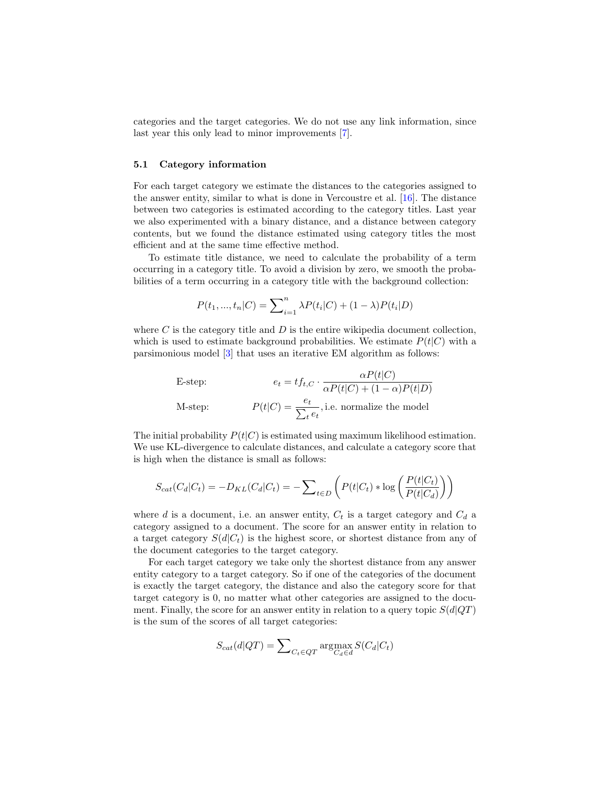categories and the target categories. We do not use any link information, since last year this only lead to minor improvements [\[7\]](#page-18-10).

#### 5.1 Category information

For each target category we estimate the distances to the categories assigned to the answer entity, similar to what is done in Vercoustre et al. [\[16\]](#page-18-11). The distance between two categories is estimated according to the category titles. Last year we also experimented with a binary distance, and a distance between category contents, but we found the distance estimated using category titles the most efficient and at the same time effective method.

To estimate title distance, we need to calculate the probability of a term occurring in a category title. To avoid a division by zero, we smooth the probabilities of a term occurring in a category title with the background collection:

$$
P(t_1, ..., t_n | C) = \sum_{i=1}^{n} \lambda P(t_i | C) + (1 - \lambda) P(t_i | D)
$$

where  $C$  is the category title and  $D$  is the entire wikipedia document collection, which is used to estimate background probabilities. We estimate  $P(t|C)$  with a parsimonious model [\[3\]](#page-17-3) that uses an iterative EM algorithm as follows:

 $R(t|\alpha)$ 

E-step:  
\n
$$
e_t = tf_{t,C} \cdot \frac{\alpha P(t|C)}{\alpha P(t|C) + (1-\alpha)P(t|D)}
$$
\n
$$
M\text{-step:}
$$
\n
$$
P(t|C) = \frac{e_t}{\sum_t e_t}, \text{i.e. normalize the model}
$$

The initial probability  $P(t|C)$  is estimated using maximum likelihood estimation. We use KL-divergence to calculate distances, and calculate a category score that is high when the distance is small as follows:

$$
S_{cat}(C_d|C_t) = -D_{KL}(C_d|C_t) = -\sum_{t \in D} \left( P(t|C_t) * \log \left( \frac{P(t|C_t)}{P(t|C_d)} \right) \right)
$$

where d is a document, i.e. an answer entity,  $C_t$  is a target category and  $C_d$  a category assigned to a document. The score for an answer entity in relation to a target category  $S(d|C_t)$  is the highest score, or shortest distance from any of the document categories to the target category.

For each target category we take only the shortest distance from any answer entity category to a target category. So if one of the categories of the document is exactly the target category, the distance and also the category score for that target category is 0, no matter what other categories are assigned to the document. Finally, the score for an answer entity in relation to a query topic  $S(d|QT)$ is the sum of the scores of all target categories:

$$
S_{cat}(d|QT) = \sum\nolimits_{C_t \in QT} \operatorname{argmax}_{C_d \in d} S(C_d|C_t)
$$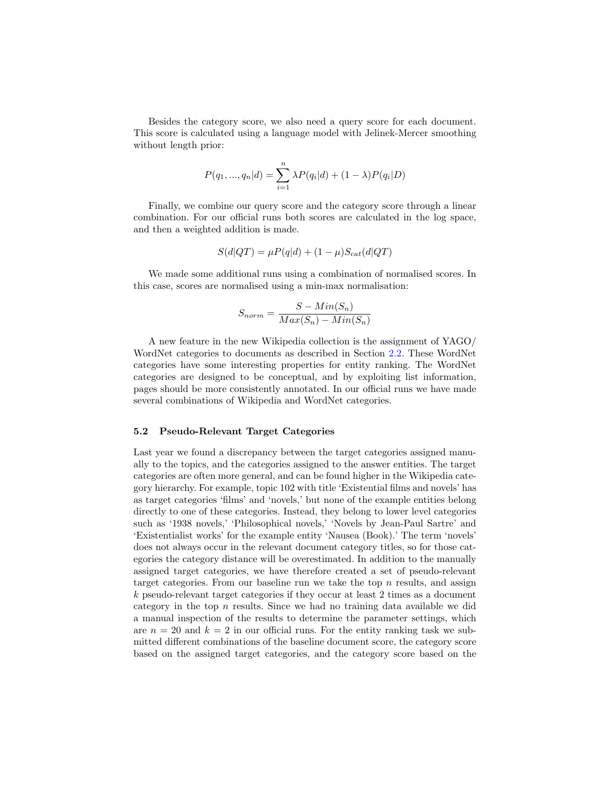Besides the category score, we also need a query score for each document. This score is calculated using a language model with Jelinek-Mercer smoothing without length prior:

$$
P(q_1, ..., q_n|d) = \sum_{i=1}^{n} \lambda P(q_i|d) + (1 - \lambda)P(q_i|D)
$$

Finally, we combine our query score and the category score through a linear combination. For our official runs both scores are calculated in the log space, and then a weighted addition is made.

$$
S(d|QT) = \mu P(q|d) + (1 - \mu)S_{cat}(d|QT)
$$

We made some additional runs using a combination of normalised scores. In this case, scores are normalised using a min-max normalisation:

$$
S_{norm} = \frac{S - Min(S_n)}{Max(S_n) - Min(S_n)}
$$

A new feature in the new Wikipedia collection is the assignment of YAGO/ WordNet categories to documents as described in Section [2.2.](#page-1-0) These WordNet categories have some interesting properties for entity ranking. The WordNet categories are designed to be conceptual, and by exploiting list information, pages should be more consistently annotated. In our official runs we have made several combinations of Wikipedia and WordNet categories.

#### 5.2 Pseudo-Relevant Target Categories

Last year we found a discrepancy between the target categories assigned manually to the topics, and the categories assigned to the answer entities. The target categories are often more general, and can be found higher in the Wikipedia category hierarchy. For example, topic 102 with title 'Existential films and novels' has as target categories 'films' and 'novels,' but none of the example entities belong directly to one of these categories. Instead, they belong to lower level categories such as '1938 novels,' 'Philosophical novels,' 'Novels by Jean-Paul Sartre' and 'Existentialist works' for the example entity 'Nausea (Book).' The term 'novels' does not always occur in the relevant document category titles, so for those categories the category distance will be overestimated. In addition to the manually assigned target categories, we have therefore created a set of pseudo-relevant target categories. From our baseline run we take the top  $n$  results, and assign k pseudo-relevant target categories if they occur at least 2 times as a document category in the top  $n$  results. Since we had no training data available we did a manual inspection of the results to determine the parameter settings, which are  $n = 20$  and  $k = 2$  in our official runs. For the entity ranking task we submitted different combinations of the baseline document score, the category score based on the assigned target categories, and the category score based on the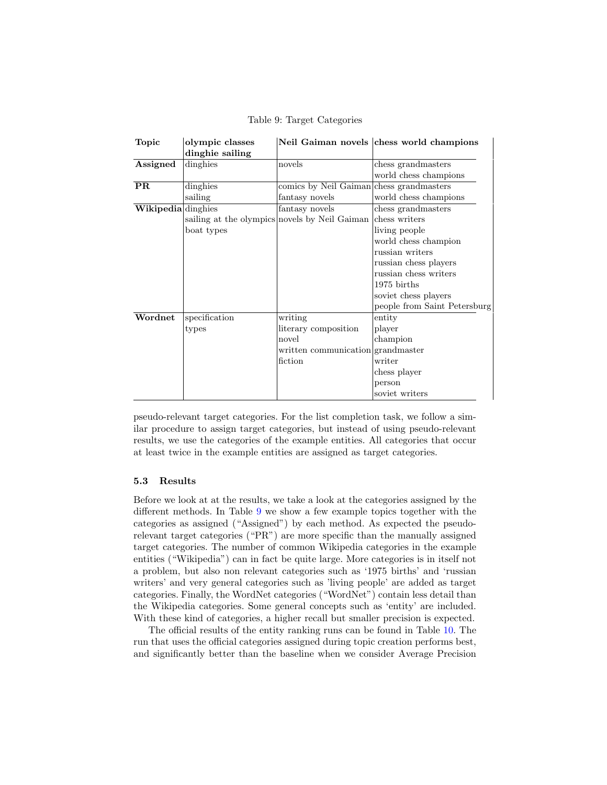| Topic                     | olympic classes |                                               | Neil Gaiman novels chess world champions |
|---------------------------|-----------------|-----------------------------------------------|------------------------------------------|
|                           | dinghie sailing |                                               |                                          |
| Assigned                  | dinghies        | novels                                        | chess grandmasters                       |
|                           |                 |                                               | world chess champions                    |
| <b>PR</b>                 | dinghies        | comics by Neil Gaiman chess grandmasters      |                                          |
|                           | sailing         | fantasy novels                                | world chess champions                    |
| <b>Wikipedia</b> dinghies |                 | fantasy novels                                | chess grandmasters                       |
|                           |                 | sailing at the olympics novels by Neil Gaiman | chess writers                            |
|                           | boat types      |                                               | living people                            |
|                           |                 |                                               | world chess champion                     |
|                           |                 |                                               | russian writers                          |
|                           |                 |                                               | russian chess players                    |
|                           |                 |                                               | russian chess writers                    |
|                           |                 |                                               | 1975 births                              |
|                           |                 |                                               | soviet chess players                     |
|                           |                 |                                               | people from Saint Petersburg             |
| Wordnet                   | specification   | writing                                       | entity                                   |
|                           | types           | literary composition                          | player                                   |
|                           |                 | novel                                         | champion                                 |
|                           |                 | written communication grandmaster             |                                          |
|                           |                 | fiction                                       | writer                                   |
|                           |                 |                                               | chess player                             |
|                           |                 |                                               | person                                   |
|                           |                 |                                               | soviet writers                           |

<span id="page-14-0"></span>Table 9: Target Categories

pseudo-relevant target categories. For the list completion task, we follow a similar procedure to assign target categories, but instead of using pseudo-relevant results, we use the categories of the example entities. All categories that occur at least twice in the example entities are assigned as target categories.

#### 5.3 Results

Before we look at at the results, we take a look at the categories assigned by the different methods. In Table [9](#page-14-0) we show a few example topics together with the categories as assigned ("Assigned") by each method. As expected the pseudorelevant target categories ("PR") are more specific than the manually assigned target categories. The number of common Wikipedia categories in the example entities ("Wikipedia") can in fact be quite large. More categories is in itself not a problem, but also non relevant categories such as '1975 births' and 'russian writers' and very general categories such as 'living people' are added as target categories. Finally, the WordNet categories ("WordNet") contain less detail than the Wikipedia categories. Some general concepts such as 'entity' are included. With these kind of categories, a higher recall but smaller precision is expected.

The official results of the entity ranking runs can be found in Table [10.](#page-15-0) The run that uses the official categories assigned during topic creation performs best, and significantly better than the baseline when we consider Average Precision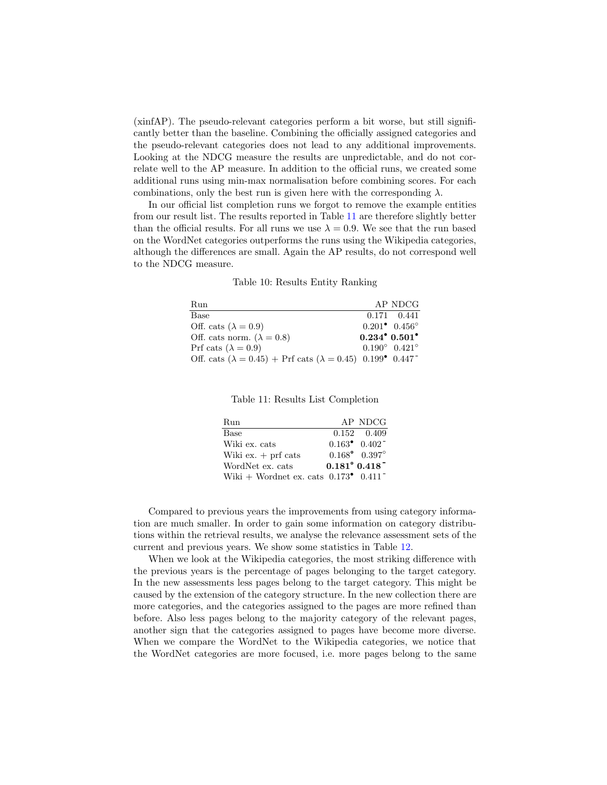(xinfAP). The pseudo-relevant categories perform a bit worse, but still significantly better than the baseline. Combining the officially assigned categories and the pseudo-relevant categories does not lead to any additional improvements. Looking at the NDCG measure the results are unpredictable, and do not correlate well to the AP measure. In addition to the official runs, we created some additional runs using min-max normalisation before combining scores. For each combinations, only the best run is given here with the corresponding  $\lambda$ .

In our official list completion runs we forgot to remove the example entities from our result list. The results reported in Table [11](#page-15-1) are therefore slightly better than the official results. For all runs we use  $\lambda = 0.9$ . We see that the run based on the WordNet categories outperforms the runs using the Wikipedia categories, although the differences are small. Again the AP results, do not correspond well to the NDCG measure.

<span id="page-15-0"></span>Table 10: Results Entity Ranking

| Run                                                                     | AP NDCG                           |
|-------------------------------------------------------------------------|-----------------------------------|
| Base                                                                    | $0.171 \quad 0.441$               |
| Off. cats ( $\lambda = 0.9$ )                                           | $0.201^{\bullet}$ 0.456°          |
| Off. cats norm. ( $\lambda = 0.8$ )                                     | $0.234^{\bullet} 0.501^{\bullet}$ |
| Prf cats ( $\lambda = 0.9$ )                                            | $0.190^{\circ}$ $0.421^{\circ}$   |
| Off. cats $(\lambda = 0.45)$ + Prf cats $(\lambda = 0.45)$ 0.199° 0.447 |                                   |

<span id="page-15-1"></span>Table 11: Results List Completion

| Run                                                        | AP NDCG                         |
|------------------------------------------------------------|---------------------------------|
| Base                                                       | $0.152 \quad 0.409$             |
| Wiki ex. cats                                              | $0.163^{\circ}$ $0.402^{\circ}$ |
| Wiki ex. $+$ prf cats                                      | $0.168^{\circ}$ $0.397^{\circ}$ |
| WordNet ex. cats                                           | $0.181^{\circ}$ 0.418           |
| Wiki + Wordnet ex. cats $0.173^{\circ}$ 0.411 <sup>-</sup> |                                 |

Compared to previous years the improvements from using category information are much smaller. In order to gain some information on category distributions within the retrieval results, we analyse the relevance assessment sets of the current and previous years. We show some statistics in Table [12.](#page-16-1)

When we look at the Wikipedia categories, the most striking difference with the previous years is the percentage of pages belonging to the target category. In the new assessments less pages belong to the target category. This might be caused by the extension of the category structure. In the new collection there are more categories, and the categories assigned to the pages are more refined than before. Also less pages belong to the majority category of the relevant pages, another sign that the categories assigned to pages have become more diverse. When we compare the WordNet to the Wikipedia categories, we notice that the WordNet categories are more focused, i.e. more pages belong to the same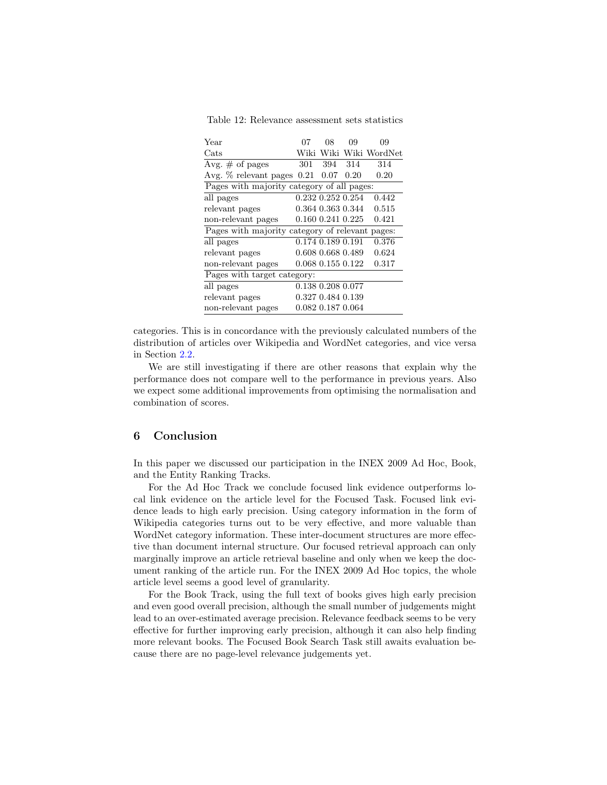<span id="page-16-1"></span>Table 12: Relevance assessment sets statistics

| Year                                            | 07   | 08                | 09   | 09                     |
|-------------------------------------------------|------|-------------------|------|------------------------|
| Cats                                            |      |                   |      | Wiki Wiki Wiki WordNet |
| Avg. $\#$ of pages                              | 301  | 394               | 314  | 314                    |
| Avg. % relevant pages                           | 0.21 | 0.07              | 0.20 | 0.20                   |
| Pages with majority category of all pages:      |      |                   |      |                        |
| all pages                                       |      | 0.232 0.252 0.254 |      | 0.442                  |
| relevant pages                                  |      | 0.364 0.363 0.344 |      | 0.515                  |
| non-relevant pages                              |      | 0.160 0.241 0.225 |      | 0.421                  |
| Pages with majority category of relevant pages: |      |                   |      |                        |
| all pages                                       |      | 0.174 0.189 0.191 |      | 0.376                  |
| relevant pages                                  |      | 0.608 0.668 0.489 |      | 0.624                  |
| non-relevant pages                              |      | 0.068 0.155 0.122 |      | 0.317                  |
| Pages with target category:                     |      |                   |      |                        |
| all pages                                       |      | 0.138 0.208 0.077 |      |                        |
| relevant pages                                  |      | 0.327 0.484 0.139 |      |                        |
| non-relevant pages                              |      | 0.082 0.187 0.064 |      |                        |

categories. This is in concordance with the previously calculated numbers of the distribution of articles over Wikipedia and WordNet categories, and vice versa in Section [2.2.](#page-1-0)

We are still investigating if there are other reasons that explain why the performance does not compare well to the performance in previous years. Also we expect some additional improvements from optimising the normalisation and combination of scores.

## <span id="page-16-0"></span>6 Conclusion

In this paper we discussed our participation in the INEX 2009 Ad Hoc, Book, and the Entity Ranking Tracks.

For the Ad Hoc Track we conclude focused link evidence outperforms local link evidence on the article level for the Focused Task. Focused link evidence leads to high early precision. Using category information in the form of Wikipedia categories turns out to be very effective, and more valuable than WordNet category information. These inter-document structures are more effective than document internal structure. Our focused retrieval approach can only marginally improve an article retrieval baseline and only when we keep the document ranking of the article run. For the INEX 2009 Ad Hoc topics, the whole article level seems a good level of granularity.

For the Book Track, using the full text of books gives high early precision and even good overall precision, although the small number of judgements might lead to an over-estimated average precision. Relevance feedback seems to be very effective for further improving early precision, although it can also help finding more relevant books. The Focused Book Search Task still awaits evaluation because there are no page-level relevance judgements yet.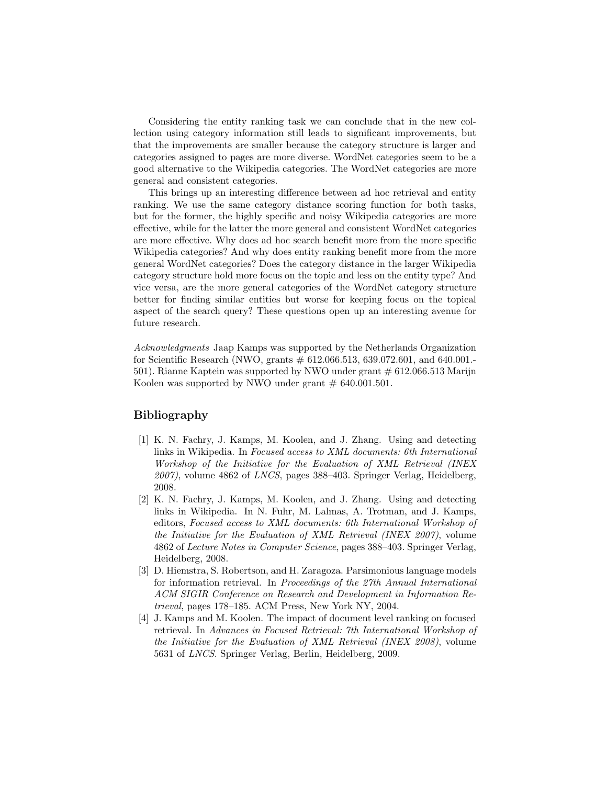Considering the entity ranking task we can conclude that in the new collection using category information still leads to significant improvements, but that the improvements are smaller because the category structure is larger and categories assigned to pages are more diverse. WordNet categories seem to be a good alternative to the Wikipedia categories. The WordNet categories are more general and consistent categories.

This brings up an interesting difference between ad hoc retrieval and entity ranking. We use the same category distance scoring function for both tasks, but for the former, the highly specific and noisy Wikipedia categories are more effective, while for the latter the more general and consistent WordNet categories are more effective. Why does ad hoc search benefit more from the more specific Wikipedia categories? And why does entity ranking benefit more from the more general WordNet categories? Does the category distance in the larger Wikipedia category structure hold more focus on the topic and less on the entity type? And vice versa, are the more general categories of the WordNet category structure better for finding similar entities but worse for keeping focus on the topical aspect of the search query? These questions open up an interesting avenue for future research.

Acknowledgments Jaap Kamps was supported by the Netherlands Organization for Scientific Research (NWO, grants # 612.066.513, 639.072.601, and 640.001.- 501). Rianne Kaptein was supported by NWO under grant # 612.066.513 Marijn Koolen was supported by NWO under grant  $# 640.001.501$ .

## Bibliography

- <span id="page-17-0"></span>[1] K. N. Fachry, J. Kamps, M. Koolen, and J. Zhang. Using and detecting links in Wikipedia. In Focused access to XML documents: 6th International Workshop of the Initiative for the Evaluation of XML Retrieval (INEX  $2007$ , volume  $4862$  of *LNCS*, pages  $388-403$ . Springer Verlag, Heidelberg, 2008.
- <span id="page-17-2"></span>[2] K. N. Fachry, J. Kamps, M. Koolen, and J. Zhang. Using and detecting links in Wikipedia. In N. Fuhr, M. Lalmas, A. Trotman, and J. Kamps, editors, Focused access to XML documents: 6th International Workshop of the Initiative for the Evaluation of XML Retrieval (INEX 2007), volume 4862 of Lecture Notes in Computer Science, pages 388–403. Springer Verlag, Heidelberg, 2008.
- <span id="page-17-3"></span>[3] D. Hiemstra, S. Robertson, and H. Zaragoza. Parsimonious language models for information retrieval. In Proceedings of the 27th Annual International ACM SIGIR Conference on Research and Development in Information Retrieval, pages 178–185. ACM Press, New York NY, 2004.
- <span id="page-17-1"></span>[4] J. Kamps and M. Koolen. The impact of document level ranking on focused retrieval. In Advances in Focused Retrieval: 7th International Workshop of the Initiative for the Evaluation of XML Retrieval (INEX 2008), volume 5631 of LNCS. Springer Verlag, Berlin, Heidelberg, 2009.